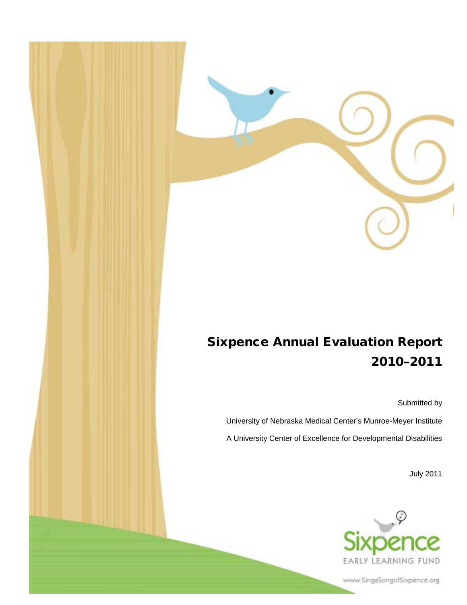

# Sixpence Annual Evaluation Report 2010–2011

Submitted by

University of Nebraska Medical Center's Munroe-Meyer Institute A University Center of Excellence for Developmental Disabilities

July 2011



www.SingaSongofSixpence.org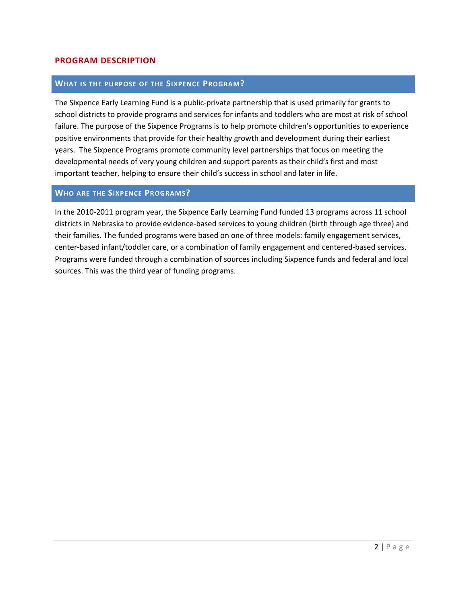# **PROGRAM DESCRIPTION**

# **WHAT IS THE PURPOSE OF THE SIXPENCE PROGRAM?**

The Sixpence Early Learning Fund is a public-private partnership that is used primarily for grants to school districts to provide programs and services for infants and toddlers who are most at risk of school failure. The purpose of the Sixpence Programs is to help promote children's opportunities to experience positive environments that provide for their healthy growth and development during their earliest years. The Sixpence Programs promote community level partnerships that focus on meeting the developmental needs of very young children and support parents as their child's first and most important teacher, helping to ensure their child's success in school and later in life.

### **WHO ARE THE SIXPENCE PROGRAMS?**

In the 2010-2011 program year, the Sixpence Early Learning Fund funded 13 programs across 11 school districts in Nebraska to provide evidence-based services to young children (birth through age three) and their families. The funded programs were based on one of three models: family engagement services, center-based infant/toddler care, or a combination of family engagement and centered-based services. Programs were funded through a combination of sources including Sixpence funds and federal and local sources. This was the third year of funding programs.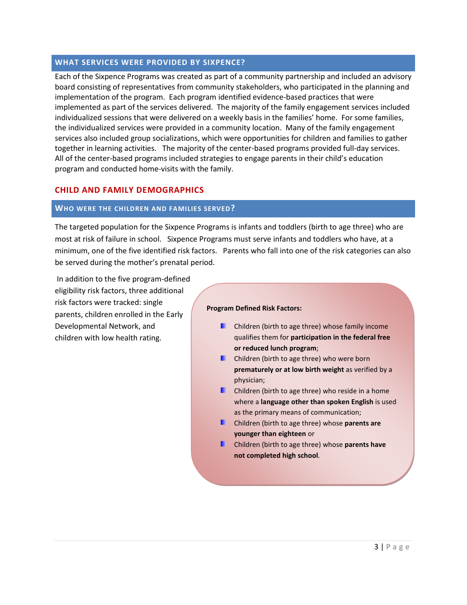# **WHAT SERVICES WERE PROVIDED BY SIXPENCE?**

Each of the Sixpence Programs was created as part of a community partnership and included an advisory board consisting of representatives from community stakeholders, who participated in the planning and implementation of the program. Each program identified evidence-based practices that were implemented as part of the services delivered. The majority of the family engagement services included individualized sessions that were delivered on a weekly basis in the families' home. For some families, the individualized services were provided in a community location. Many of the family engagement services also included group socializations, which were opportunities for children and families to gather together in learning activities. The majority of the center-based programs provided full-day services. All of the center-based programs included strategies to engage parents in their child's education program and conducted home-visits with the family.

# **CHILD AND FAMILY DEMOGRAPHICS**

# **WHO WERE THE CHILDREN AND FAMILIES SERVED?**

The targeted population for the Sixpence Programs is infants and toddlers (birth to age three) who are most at risk of failure in school. Sixpence Programs must serve infants and toddlers who have, at a minimum, one of the five identified risk factors. Parents who fall into one of the risk categories can also be served during the mother's prenatal period.

In addition to the five program-defined eligibility risk factors, three additional risk factors were tracked: single parents, children enrolled in the Early Developmental Network, and children with low health rating.

#### **Program Defined Risk Factors:**

- **E** Children (birth to age three) whose family income qualifies them for **participation in the federal free or reduced lunch program**;
- **E** Children (birth to age three) who were born **prematurely or at low birth weight** as verified by a physician;
- п. Children (birth to age three) who reside in a home where a **language other than spoken English** is used as the primary means of communication;
- Children (birth to age three) whose **parents are younger than eighteen** or
- п. Children (birth to age three) whose **parents have not completed high school**.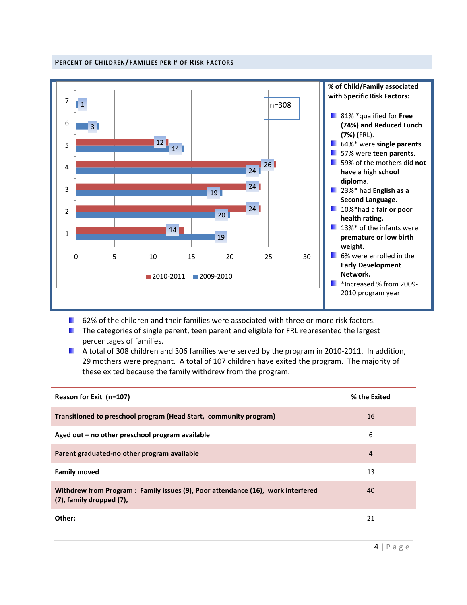**PERCENT OF CHILDREN/FAMILIES PER # OF RISK FACTORS** 



- **E** 62% of the children and their families were associated with three or more risk factors.
- **The categories of single parent, teen parent and eligible for FRL represented the largest** percentages of families.
- A total of 308 children and 306 families were served by the program in 2010-2011. In addition, 29 mothers were pregnant. A total of 107 children have exited the program. The majority of these exited because the family withdrew from the program.

| Reason for Exit (n=107)                                                                                     | % the Exited   |
|-------------------------------------------------------------------------------------------------------------|----------------|
| Transitioned to preschool program (Head Start, community program)                                           | 16             |
| Aged out - no other preschool program available                                                             | 6              |
| Parent graduated-no other program available                                                                 | $\overline{4}$ |
| <b>Family moved</b>                                                                                         | 13             |
| Withdrew from Program: Family issues (9), Poor attendance (16), work interfered<br>(7), family dropped (7), | 40             |
| Other:                                                                                                      | 21             |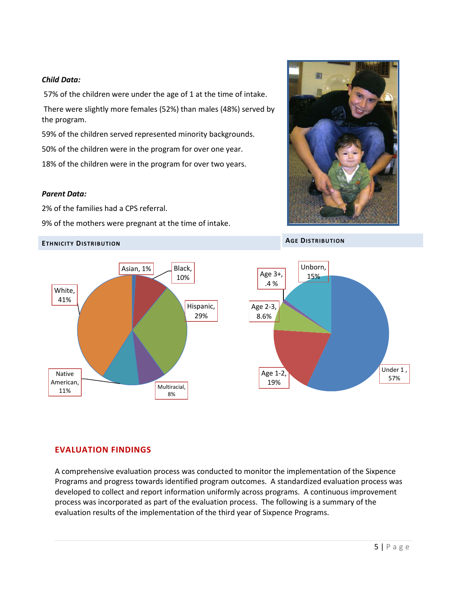# *Child Data:*

57% of the children were under the age of 1 at the time of intake.

There were slightly more females (52%) than males (48%) served by the program.

59% of the children served represented minority backgrounds.

50% of the children were in the program for over one year.

18% of the children were in the program for over two years.

# *Parent Data:*

2% of the families had a CPS referral.

9% of the mothers were pregnant at the time of intake.

# **ETHNICITY DISTRIBUTION AGE DISTRIBUTION**





# **EVALUATION FINDINGS**

A comprehensive evaluation process was conducted to monitor the implementation of the Sixpence Programs and progress towards identified program outcomes. A standardized evaluation process was developed to collect and report information uniformly across programs. A continuous improvement process was incorporated as part of the evaluation process. The following is a summary of the evaluation results of the implementation of the third year of Sixpence Programs.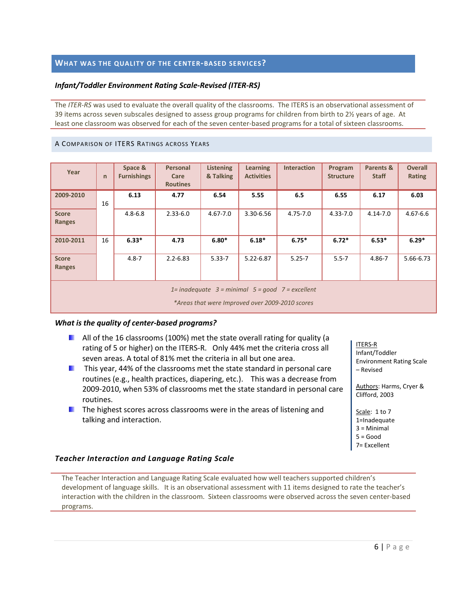# **WHAT WAS THE QUALITY OF THE CENTER-BASED SERVICES?**

### *Infant/Toddler Environment Rating Scale-Revised (ITER-RS)*

The *ITER-RS* was used to evaluate the overall quality of the classrooms. The ITERS is an observational assessment of 39 items across seven subscales designed to assess group programs for children from birth to 2½ years of age. At least one classroom was observed for each of the seven center-based programs for a total of sixteen classrooms.

#### A COMPARISON OF ITERS RATINGS ACROSS YEARS

| Year                                                                                                      | $\mathsf{n}$ | Space &<br><b>Furnishings</b> | <b>Personal</b><br>Care<br><b>Routines</b> | <b>Listening</b><br>& Talking | <b>Learning</b><br><b>Activities</b> | <b>Interaction</b> | Program<br><b>Structure</b> | Parents &<br><b>Staff</b> | <b>Overall</b><br>Rating |
|-----------------------------------------------------------------------------------------------------------|--------------|-------------------------------|--------------------------------------------|-------------------------------|--------------------------------------|--------------------|-----------------------------|---------------------------|--------------------------|
| 2009-2010                                                                                                 | 16           | 6.13                          | 4.77                                       | 6.54                          | 5.55                                 | 6.5                | 6.55                        | 6.17                      | 6.03                     |
| <b>Score</b><br>Ranges                                                                                    |              | $4.8 - 6.8$                   | $2.33 - 6.0$                               | $4.67 - 7.0$                  | 3.30-6.56                            | $4.75 - 7.0$       | $4.33 - 7.0$                | $4.14 - 7.0$              | $4.67 - 6.6$             |
| 2010-2011                                                                                                 | 16           | $6.33*$                       | 4.73                                       | $6.80*$                       | $6.18*$                              | $6.75*$            | $6.72*$                     | $6.53*$                   | $6.29*$                  |
| <b>Score</b><br>Ranges                                                                                    |              | $4.8 - 7$                     | $2.2 - 6.83$                               | $5.33 - 7$                    | 5.22-6.87                            | $5.25 - 7$         | $5.5 - 7$                   | 4.86-7                    | 5.66-6.73                |
| 1= inadequate $3$ = minimal $5$ = good $7$ = excellent<br>*Areas that were Improved over 2009-2010 scores |              |                               |                                            |                               |                                      |                    |                             |                           |                          |

#### *What is the quality of center-based programs?*

- $\mathcal{L}$ All of the 16 classrooms (100%) met the state overall rating for quality (a rating of 5 or higher) on the ITERS-R. Only 44% met the criteria cross all seven areas. A total of 81% met the criteria in all but one area.
- $\blacksquare$  This year, 44% of the classrooms met the state standard in personal care routines (e.g., health practices, diapering, etc.). This was a decrease from 2009-2010, when 53% of classrooms met the state standard in personal care routines.
- $\blacksquare$  The highest scores across classrooms were in the areas of listening and talking and interaction.

ITERS-R Infant/Toddler Environment Rating Scale – Revised

Authors: Harms, Cryer & Clifford, 2003

Scale: 1 to 7 1=Inadequate 3 = Minimal  $5 = Good$ 7= Excellent

# *Teacher Interaction and Language Rating Scale*

The Teacher Interaction and Language Rating Scale evaluated how well teachers supported children's development of language skills. It is an observational assessment with 11 items designed to rate the teacher's interaction with the children in the classroom. Sixteen classrooms were observed across the seven center-based programs.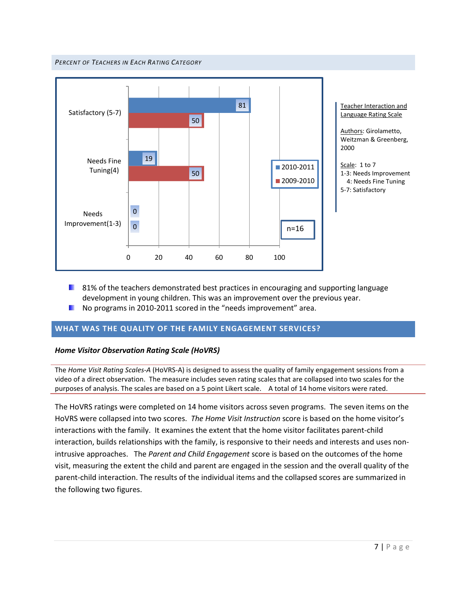*PERCENT OF TEACHERS IN EACH RATING CATEGORY*



- $\blacksquare$  81% of the teachers demonstrated best practices in encouraging and supporting language development in young children. This was an improvement over the previous year.
- **No programs in 2010-2011 scored in the "needs improvement" area.**

# **WHAT WAS THE QUALITY OF THE FAMILY ENGAGEMENT SERVICES?**

# *Home Visitor Observation Rating Scale (HoVRS)*

The *Home Visit Rating Scales-A* (HoVRS-A) is designed to assess the quality of family engagement sessions from a video of a direct observation. The measure includes seven rating scales that are collapsed into two scales for the purposes of analysis. The scales are based on a 5 point Likert scale.A total of 14 home visitors were rated.

The HoVRS ratings were completed on 14 home visitors across seven programs. The seven items on the HoVRS were collapsed into two scores. *The Home Visit Instruction* score is based on the home visitor's interactions with the family. It examines the extent that the home visitor facilitates parent-child interaction, builds relationships with the family, is responsive to their needs and interests and uses nonintrusive approaches. The *Parent and Child Engagement* score is based on the outcomes of the home visit, measuring the extent the child and parent are engaged in the session and the overall quality of the parent-child interaction. The results of the individual items and the collapsed scores are summarized in the following two figures.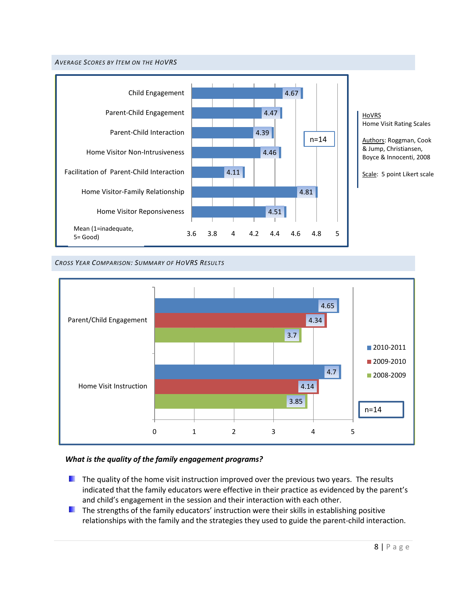



#### *CROSS YEAR COMPARISON: SUMMARY OF HOVRS RESULTS*



# *What is the quality of the family engagement programs?*

- $\blacksquare$  The quality of the home visit instruction improved over the previous two years. The results indicated that the family educators were effective in their practice as evidenced by the parent's and child's engagement in the session and their interaction with each other.
- **The strengths of the family educators' instruction were their skills in establishing positive** relationships with the family and the strategies they used to guide the parent-child interaction.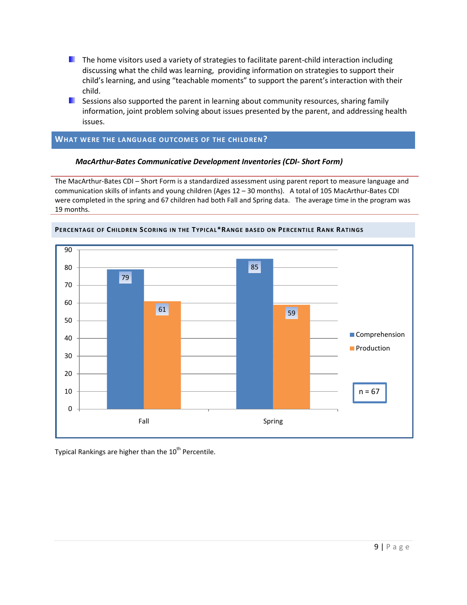- **The home visitors used a variety of strategies to facilitate parent-child interaction including** discussing what the child was learning, providing information on strategies to support their child's learning, and using "teachable moments" to support the parent's interaction with their child.
- $\blacksquare$  Sessions also supported the parent in learning about community resources, sharing family information, joint problem solving about issues presented by the parent, and addressing health issues.

# **WHAT WERE THE LANGUAGE OUTCOMES OF THE CHILDREN?**

# *MacArthur-Bates Communicative Development Inventories (CDI- Short Form)*

The MacArthur-Bates CDI – Short Form is a standardized assessment using parent report to measure language and communication skills of infants and young children (Ages 12 – 30 months). A total of 105 MacArthur-Bates CDI were completed in the spring and 67 children had both Fall and Spring data. The average time in the program was 19 months.



**PERCENTAGE OF CHILDREN SCORING IN THE TYPICAL\*RANGE BASED ON PERCENTILE RANK RATINGS**

Typical Rankings are higher than the 10<sup>th</sup> Percentile.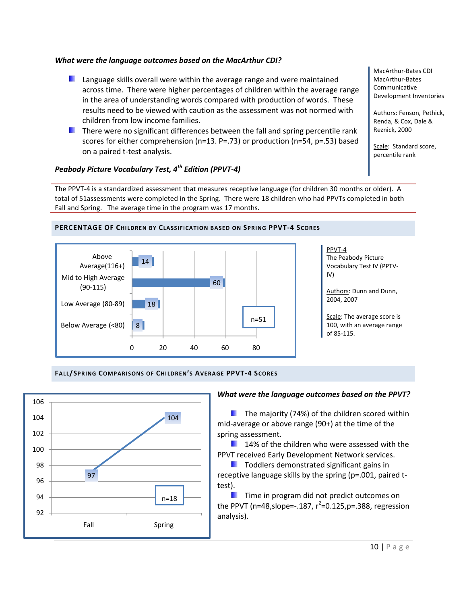#### *What were the language outcomes based on the MacArthur CDI?*

- **Language skills overall were within the average range and were maintained** across time. There were higher percentages of children within the average range in the area of understanding words compared with production of words. These results need to be viewed with caution as the assessment was not normed with children from low income families.
- $\blacksquare$  There were no significant differences between the fall and spring percentile rank scores for either comprehension (n=13. P=.73) or production (n=54, p=.53) based on a paired t-test analysis.

**PERCENTAGE OF CHILDREN BY CLASSIFICATION BASED ON SPRING PPVT-4 SCORES** 

# *Peabody Picture Vocabulary Test, 4th Edition (PPVT-4)*

The PPVT-4 is a standardized assessment that measures receptive language (for children 30 months or older). A total of 51assessments were completed in the Spring. There were 18 children who had PPVTs completed in both Fall and Spring. The average time in the program was 17 months.



#### **FALL/SPRING COMPARISONS OF CHILDREN'S AVERAGE PPVT-4 SCORES**



#### *What were the language outcomes based on the PPVT?*

 $\blacksquare$  The majority (74%) of the children scored within mid-average or above range (90+) at the time of the spring assessment.

**14% of the children who were assessed with the** PPVT received Early Development Network services.

 $\blacksquare$  Toddlers demonstrated significant gains in receptive language skills by the spring (p=.001, paired ttest).

**Time in program did not predict outcomes on** the PPVT (n=48,slope= $-0.125$ , r<sup>2</sup>=0.125,p= $-0.388$ , regression analysis).

MacArthur-Bates CDI MacArthur-Bates Communicative Development Inventories

Authors: Fenson, Pethick, Renda, & Cox, Dale & Reznick, 2000

Scale: Standard score, percentile rank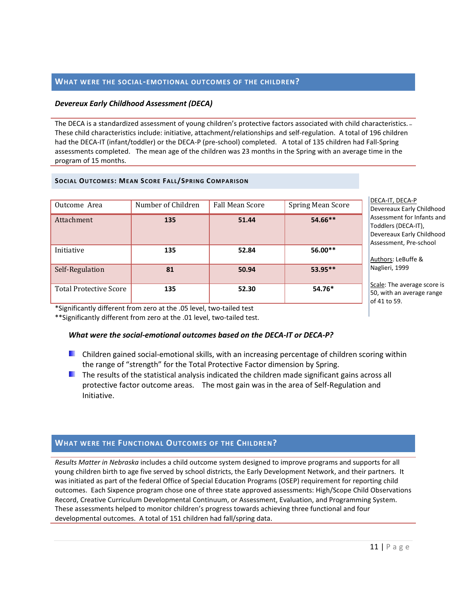### **WHAT WERE THE SOCIAL-EMOTIONAL OUTCOMES OF THE CHILDREN?**

#### *Devereux Early Childhood Assessment (DECA)*

The DECA is a standardized assessment of young children's protective factors associated with child characteristics. These child characteristics include: initiative, attachment/relationships and self-regulation. A total of 196 children had the DECA-IT (infant/toddler) or the DECA-P (pre-school) completed. A total of 135 children had Fall-Spring assessments completed. The mean age of the children was 23 months in the Spring with an average time in the program of 15 months.

#### **SOCIAL OUTCOMES: MEAN SCORE FALL/SPRING COMPARISON**

| Outcome Area                  | Number of Children | <b>Fall Mean Score</b> | Spring Mean Score |
|-------------------------------|--------------------|------------------------|-------------------|
| <b>Attachment</b>             | 135                | 51.44                  | 54.66**           |
| Initiative                    | 135                | 52.84                  | 56.00**           |
| Self-Regulation               | 81                 | 50.94                  | 53.95**           |
| <b>Total Protective Score</b> | 135                | 52.30                  | 54.76*            |

DECA-IT, DECA-P

Devereaux Early Childhood Assessment for Infants and Toddlers (DECA-IT), Devereaux Early Childhood Assessment, Pre-school

Authors: LeBuffe & Naglieri, 1999

Scale: The average score is 50, with an average range of 41 to 59.

\*Significantly different from zero at the .05 level, two-tailed test

\*\*Significantly different from zero at the .01 level, two-tailed test.

#### *What were the social-emotional outcomes based on the DECA-IT or DECA-P?*

- Children gained social-emotional skills, with an increasing percentage of children scoring within the range of "strength" for the Total Protective Factor dimension by Spring.
- $\blacksquare$  The results of the statistical analysis indicated the children made significant gains across all protective factor outcome areas. The most gain was in the area of Self-Regulation and Initiative.

# **WHAT WERE THE FUNCTIONAL OUTCOMES OF THE CHILDREN?**

*Results Matter in Nebraska* includes a child outcome system designed to improve programs and supports for all young children birth to age five served by school districts, the Early Development Network, and their partners. It was initiated as part of the federal Office of Special Education Programs (OSEP) requirement for reporting child outcomes. Each Sixpence program chose one of three state approved assessments: High/Scope Child Observations Record, Creative Curriculum Developmental Continuum, or Assessment, Evaluation, and Programming System. These assessments helped to monitor children's progress towards achieving three functional and four developmental outcomes. A total of 151 children had fall/spring data.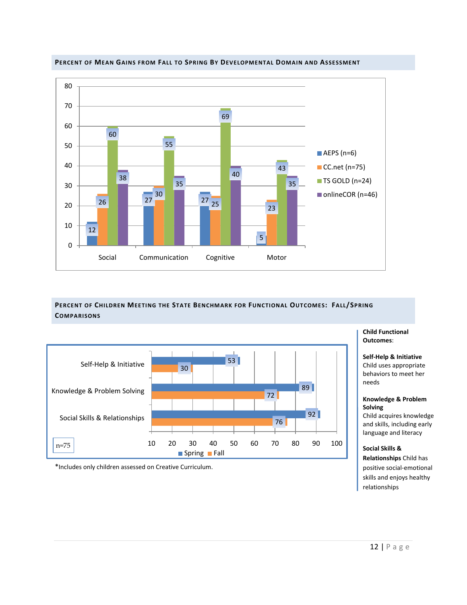

**PERCENT OF MEAN GAINS FROM FALL TO SPRING BY DEVELOPMENTAL DOMAIN AND ASSESSMENT**

# **PERCENT OF CHILDREN MEETING THE STATE BENCHMARK FOR FUNCTIONAL OUTCOMES: FALL/SPRING COMPARISONS**



\*Includes only children assessed on Creative Curriculum.

#### **Child Functional Outcomes**:

**Self-Help & Initiative** Child uses appropriate behaviors to meet her needs

#### **Knowledge & Problem Solving**

Child acquires knowledge and skills, including early language and literacy

#### **Social Skills &**

**Relationships** Child has positive social-emotional skills and enjoys healthy relationships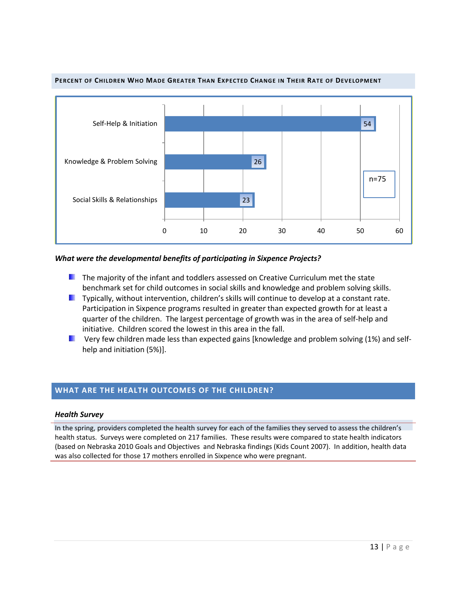

#### **PERCENT OF CHILDREN WHO MADE GREATER THAN EXPECTED CHANGE IN THEIR RATE OF DEVELOPMENT**

#### *What were the developmental benefits of participating in Sixpence Projects?*

- **The majority of the infant and toddlers assessed on Creative Curriculum met the state** benchmark set for child outcomes in social skills and knowledge and problem solving skills.
- **L** Typically, without intervention, children's skills will continue to develop at a constant rate. Participation in Sixpence programs resulted in greater than expected growth for at least a quarter of the children. The largest percentage of growth was in the area of self-help and initiative. Children scored the lowest in this area in the fall.
- **L** Very few children made less than expected gains [knowledge and problem solving (1%) and selfhelp and initiation (5%)].

# **WHAT ARE THE HEALTH OUTCOMES OF THE CHILDREN?**

#### *Health Survey*

In the spring, providers completed the health survey for each of the families they served to assess the children's health status. Surveys were completed on 217 families. These results were compared to state health indicators (based on Nebraska 2010 Goals and Objectives and Nebraska findings (Kids Count 2007). In addition, health data was also collected for those 17 mothers enrolled in Sixpence who were pregnant.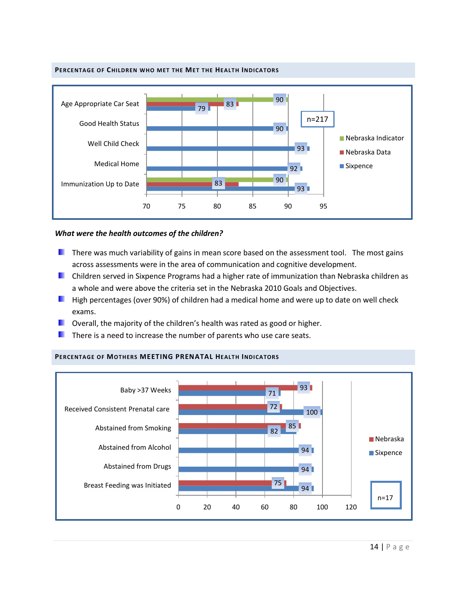

#### *What were the health outcomes of the children?*

- $\blacksquare$  There was much variability of gains in mean score based on the assessment tool. The most gains across assessments were in the area of communication and cognitive development.
- Children served in Sixpence Programs had a higher rate of immunization than Nebraska children as a whole and were above the criteria set in the Nebraska 2010 Goals and Objectives.
- **H** High percentages (over 90%) of children had a medical home and were up to date on well check exams.
- **D** Overall, the majority of the children's health was rated as good or higher.
- $\blacksquare$  There is a need to increase the number of parents who use care seats.

#### **PERCENTAGE OF MOTHERS MEETING PRENATAL HEALTH INDICATORS**

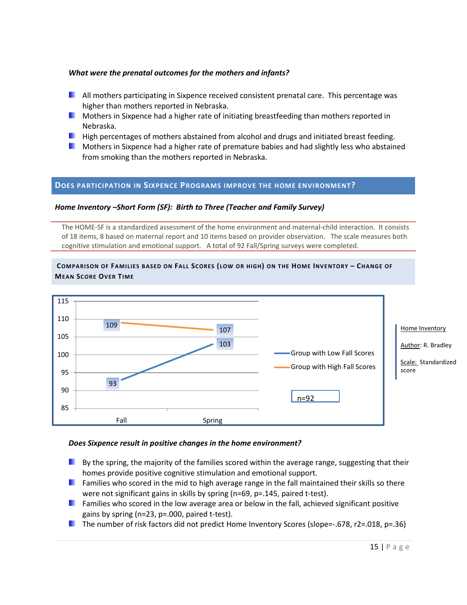# *What were the prenatal outcomes for the mothers and infants?*

- **All mothers participating in Sixpence received consistent prenatal care. This percentage was** higher than mothers reported in Nebraska.
- **Mothers in Sixpence had a higher rate of initiating breastfeeding than mothers reported in** Nebraska.
- **L** High percentages of mothers abstained from alcohol and drugs and initiated breast feeding.
- **Mothers in Sixpence had a higher rate of premature babies and had slightly less who abstained** from smoking than the mothers reported in Nebraska.

# **DOES PARTICIPATION IN SIXPENCE PROGRAMS IMPROVE THE HOME ENVIRONMENT?**

# *Home Inventory –Short Form (SF): Birth to Three (Teacher and Family Survey)*

The HOME-SF is a standardized assessment of the home environment and maternal-child interaction. It consists of 18 items, 8 based on maternal report and 10 items based on provider observation. The scale measures both cognitive stimulation and emotional support. A total of 92 Fall/Spring surveys were completed.

### **COMPARISON OF FAMILIES BASED ON FALL SCORES ( LOW OR HIGH) ON THE HOME INVENTORY – CHANGE OF MEAN SCORE OVER TIME**



#### *Does Sixpence result in positive changes in the home environment?*

- $\blacksquare$  By the spring, the majority of the families scored within the average range, suggesting that their homes provide positive cognitive stimulation and emotional support.
- **E** Families who scored in the mid to high average range in the fall maintained their skills so there were not significant gains in skills by spring (n=69, p=.145, paired t-test).
- **E** Families who scored in the low average area or below in the fall, achieved significant positive gains by spring (n=23, p=.000, paired t-test).
- **The number of risk factors did not predict Home Inventory Scores (slope=-.678, r2=.018, p=.36)**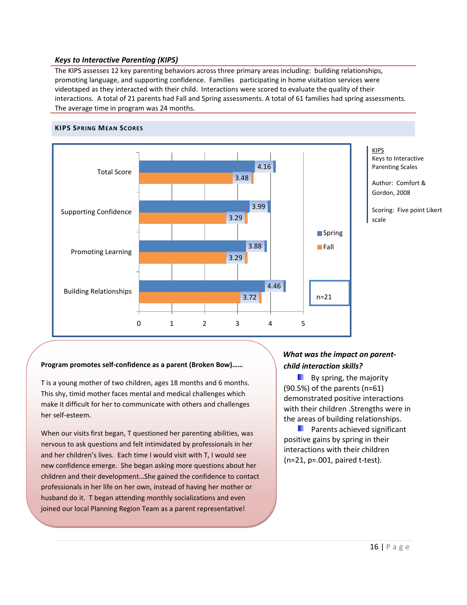#### *Keys to Interactive Parenting (KIPS)*

The KIPS assesses 12 key parenting behaviors across three primary areas including: building relationships, promoting language, and supporting confidence. Families participating in home visitation services were videotaped as they interacted with their child. Interactions were scored to evaluate the quality of their interactions. A total of 21 parents had Fall and Spring assessments. A total of 61 families had spring assessments. The average time in program was 24 months.



#### **KIPS SPRING MEAN SCORES**

#### **Program promotes self-confidence as a parent (Broken Bow)……**

T is a young mother of two children, ages 18 months and 6 months. This shy, timid mother faces mental and medical challenges which make it difficult for her to communicate with others and challenges her self-esteem.

When our visits first began, T questioned her parenting abilities, was nervous to ask questions and felt intimidated by professionals in her and her children's lives. Each time I would visit with T, I would see new confidence emerge. She began asking more questions about her children and their development…She gained the confidence to contact professionals in her life on her own, instead of having her mother or husband do it. T began attending monthly socializations and even joined our local Planning Region Team as a parent representative!

# *What was the impact on parentchild interaction skills?*

 $\blacksquare$  By spring, the majority (90.5%) of the parents (n=61) demonstrated positive interactions with their children .Strengths were in the areas of building relationships.

**Parents achieved significant** positive gains by spring in their interactions with their children (n=21, p=.001, paired t-test).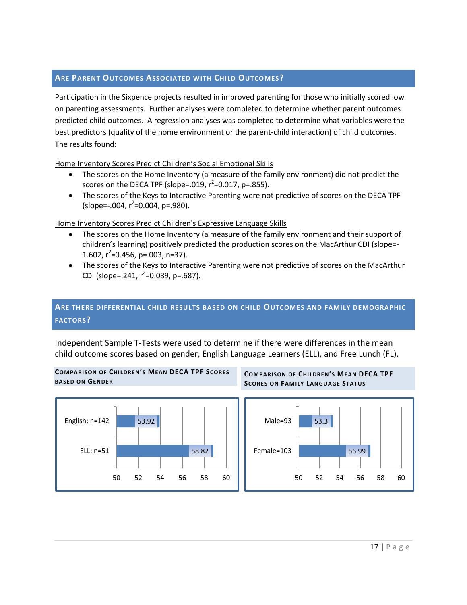# **ARE PARENT OUTCOMES ASSOCIATED WITH CHILD OUTCOMES?**

Participation in the Sixpence projects resulted in improved parenting for those who initially scored low on parenting assessments. Further analyses were completed to determine whether parent outcomes predicted child outcomes. A regression analyses was completed to determine what variables were the best predictors (quality of the home environment or the parent-child interaction) of child outcomes. The results found:

Home Inventory Scores Predict Children's Social Emotional Skills

- The scores on the Home Inventory (a measure of the family environment) did not predict the scores on the DECA TPF (slope=.019,  $r^2$ =0.017, p=.855).
- The scores of the Keys to Interactive Parenting were not predictive of scores on the DECA TPF  $(slope=-.004, r^2=0.004, p=.980).$

Home Inventory Scores Predict Children's Expressive Language Skills

- The scores on the Home Inventory (a measure of the family environment and their support of children's learning) positively predicted the production scores on the MacArthur CDI (slope=- 1.602,  $r^2$ =0.456, p=.003, n=37).
- The scores of the Keys to Interactive Parenting were not predictive of scores on the MacArthur CDI (slope= $.241, r^2 = 0.089, p = .687$ ).

# **ARE THERE DIFFERENTIAL CHILD RESULTS BASED ON CHILD OUTCOMES AND FAMILY DEMOGRAPHIC FACTORS?**

Independent Sample T-Tests were used to determine if there were differences in the mean child outcome scores based on gender, English Language Learners (ELL), and Free Lunch (FL).



50 52 54 56 58 60

**COMPARISON OF CHILDREN'S MEAN DECA TPF SCORES**



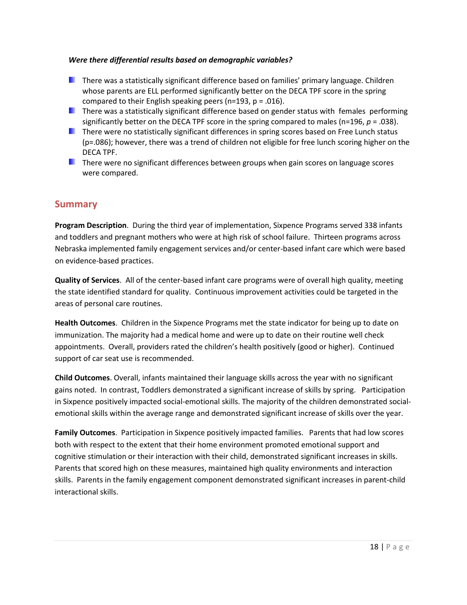# *Were there differential results based on demographic variables?*

- **There was a statistically significant difference based on families' primary language. Children** whose parents are ELL performed significantly better on the DECA TPF score in the spring compared to their English speaking peers (n=193,  $p = .016$ ).
- **There was a statistically significant difference based on gender status with females performing** significantly better on the DECA TPF score in the spring compared to males (n=196, *p* = .038).
- **There were no statistically significant differences in spring scores based on Free Lunch status** (p=.086); however, there was a trend of children not eligible for free lunch scoring higher on the DECA TPF.
- $\blacksquare$  There were no significant differences between groups when gain scores on language scores were compared.

# **Summary**

**Program Description**. During the third year of implementation, Sixpence Programs served 338 infants and toddlers and pregnant mothers who were at high risk of school failure. Thirteen programs across Nebraska implemented family engagement services and/or center-based infant care which were based on evidence-based practices.

**Quality of Services**. All of the center-based infant care programs were of overall high quality, meeting the state identified standard for quality. Continuous improvement activities could be targeted in the areas of personal care routines.

**Health Outcomes**. Children in the Sixpence Programs met the state indicator for being up to date on immunization. The majority had a medical home and were up to date on their routine well check appointments. Overall, providers rated the children's health positively (good or higher). Continued support of car seat use is recommended.

**Child Outcomes**. Overall, infants maintained their language skills across the year with no significant gains noted. In contrast, Toddlers demonstrated a significant increase of skills by spring. Participation in Sixpence positively impacted social-emotional skills. The majority of the children demonstrated socialemotional skills within the average range and demonstrated significant increase of skills over the year.

**Family Outcomes**. Participation in Sixpence positively impacted families. Parents that had low scores both with respect to the extent that their home environment promoted emotional support and cognitive stimulation or their interaction with their child, demonstrated significant increases in skills. Parents that scored high on these measures, maintained high quality environments and interaction skills. Parents in the family engagement component demonstrated significant increases in parent-child interactional skills.